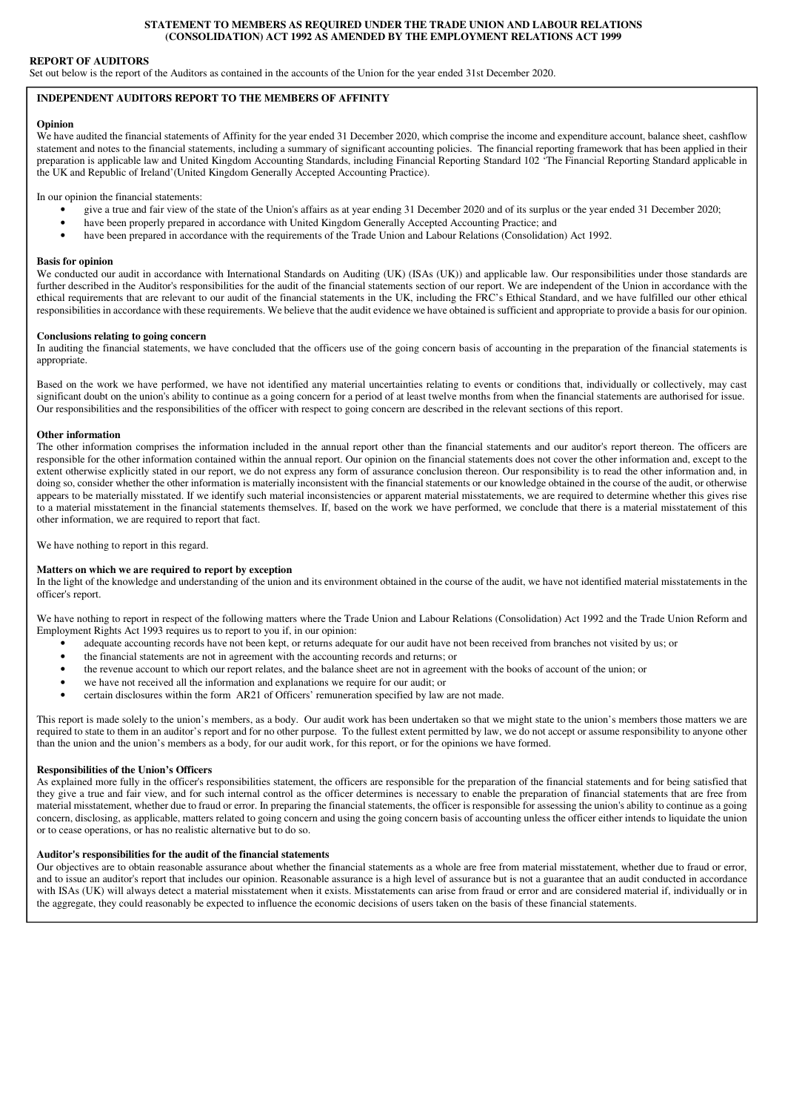### **STATEMENT TO MEMBERS AS REQUIRED UNDER THE TRADE UNION AND LABOUR RELATIONS (CONSOLIDATION) ACT 1992 AS AMENDED BY THE EMPLOYMENT RELATIONS ACT 1999**

### **REPORT OF AUDITORS**

Set out below is the report of the Auditors as contained in the accounts of the Union for the year ended 31st December 2020.

## **INDEPENDENT AUDITORS REPORT TO THE MEMBERS OF AFFINITY**

#### **Opinion**

We have audited the financial statements of Affinity for the year ended 31 December 2020, which comprise the income and expenditure account, balance sheet, cashflow statement and notes to the financial statements, including a summary of significant accounting policies. The financial reporting framework that has been applied in their preparation is applicable law and United Kingdom Accounting Standards, including Financial Reporting Standard 102 'The Financial Reporting Standard applicable in the UK and Republic of Ireland'(United Kingdom Generally Accepted Accounting Practice).

In our opinion the financial statements:

- give a true and fair view of the state of the Union's affairs as at year ending 31 December 2020 and of its surplus or the year ended 31 December 2020;
- have been properly prepared in accordance with United Kingdom Generally Accepted Accounting Practice; and
- have been prepared in accordance with the requirements of the Trade Union and Labour Relations (Consolidation) Act 1992.

#### **Basis for opinion**

We conducted our audit in accordance with International Standards on Auditing (UK) (ISAs (UK)) and applicable law. Our responsibilities under those standards are further described in the Auditor's responsibilities for the audit of the financial statements section of our report. We are independent of the Union in accordance with the ethical requirements that are relevant to our audit of the financial statements in the UK, including the FRC's Ethical Standard, and we have fulfilled our other ethical responsibilities in accordance with these requirements. We believe that the audit evidence we have obtained is sufficient and appropriate to provide a basis for our opinion.

### **Conclusions relating to going concern**

In auditing the financial statements, we have concluded that the officers use of the going concern basis of accounting in the preparation of the financial statements is appropriate.

Based on the work we have performed, we have not identified any material uncertainties relating to events or conditions that, individually or collectively, may cast significant doubt on the union's ability to continue as a going concern for a period of at least twelve months from when the financial statements are authorised for issue. Our responsibilities and the responsibilities of the officer with respect to going concern are described in the relevant sections of this report.

### **Other information**

The other information comprises the information included in the annual report other than the financial statements and our auditor's report thereon. The officers are responsible for the other information contained within the annual report. Our opinion on the financial statements does not cover the other information and, except to the extent otherwise explicitly stated in our report, we do not express any form of assurance conclusion thereon. Our responsibility is to read the other information and, in doing so, consider whether the other information is materially inconsistent with the financial statements or our knowledge obtained in the course of the audit, or otherwise appears to be materially misstated. If we identify such material inconsistencies or apparent material misstatements, we are required to determine whether this gives rise to a material misstatement in the financial statements themselves. If, based on the work we have performed, we conclude that there is a material misstatement of this other information, we are required to report that fact.

We have nothing to report in this regard.

### **Matters on which we are required to report by exception**

In the light of the knowledge and understanding of the union and its environment obtained in the course of the audit, we have not identified material misstatements in the officer's report.

We have nothing to report in respect of the following matters where the Trade Union and Labour Relations (Consolidation) Act 1992 and the Trade Union Reform and Employment Rights Act 1993 requires us to report to you if, in our opinion:

- adequate accounting records have not been kept, or returns adequate for our audit have not been received from branches not visited by us; or
- the financial statements are not in agreement with the accounting records and returns; or
- the revenue account to which our report relates, and the balance sheet are not in agreement with the books of account of the union; or
- we have not received all the information and explanations we require for our audit; or
- certain disclosures within the form AR21 of Officers' remuneration specified by law are not made.

This report is made solely to the union's members, as a body. Our audit work has been undertaken so that we might state to the union's members those matters we are required to state to them in an auditor's report and for no other purpose. To the fullest extent permitted by law, we do not accept or assume responsibility to anyone other than the union and the union's members as a body, for our audit work, for this report, or for the opinions we have formed.

### **Responsibilities of the Union's Officers**

As explained more fully in the officer's responsibilities statement, the officers are responsible for the preparation of the financial statements and for being satisfied that they give a true and fair view, and for such internal control as the officer determines is necessary to enable the preparation of financial statements that are free from material misstatement, whether due to fraud or error. In preparing the financial statements, the officer is responsible for assessing the union's ability to continue as a going concern, disclosing, as applicable, matters related to going concern and using the going concern basis of accounting unless the officer either intends to liquidate the union or to cease operations, or has no realistic alternative but to do so.

### **Auditor's responsibilities for the audit of the financial statements**

Our objectives are to obtain reasonable assurance about whether the financial statements as a whole are free from material misstatement, whether due to fraud or error, and to issue an auditor's report that includes our opinion. Reasonable assurance is a high level of assurance but is not a guarantee that an audit conducted in accordance with ISAs (UK) will always detect a material misstatement when it exists. Misstatements can arise from fraud or error and are considered material if, individually or in the aggregate, they could reasonably be expected to influence the economic decisions of users taken on the basis of these financial statements.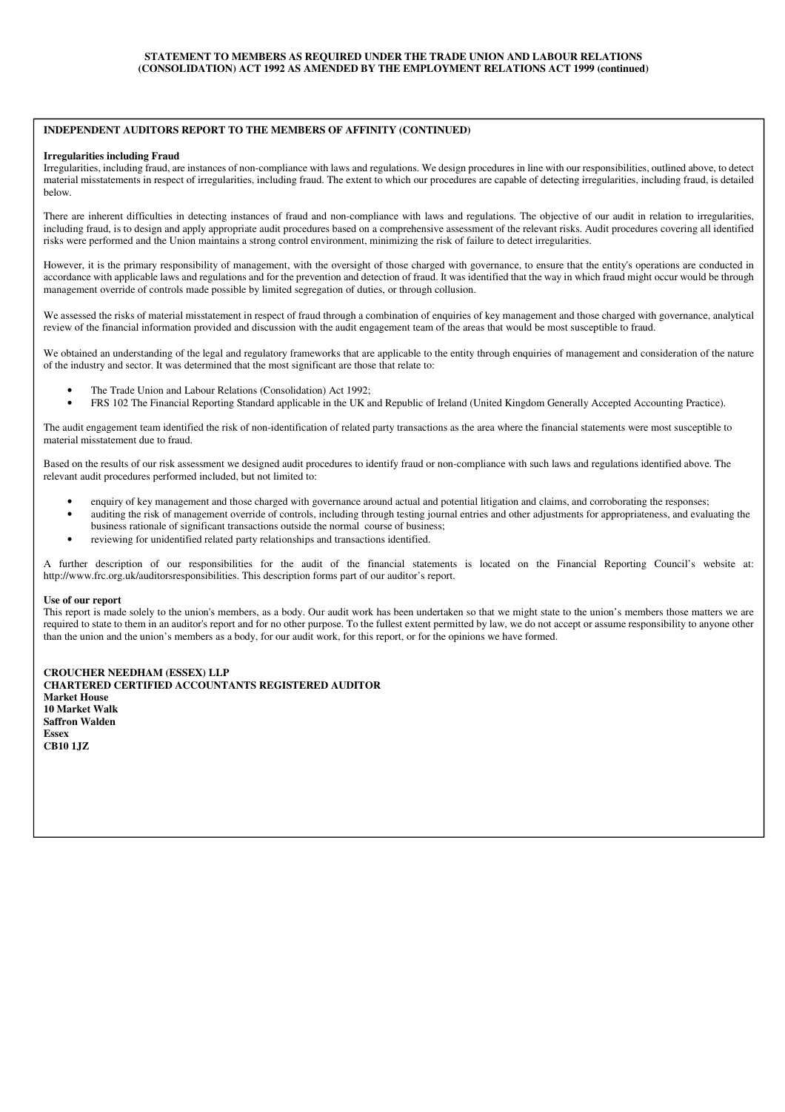### **INDEPENDENT AUDITORS REPORT TO THE MEMBERS OF AFFINITY (CONTINUED)**

#### **Irregularities including Fraud**

Irregularities, including fraud, are instances of non-compliance with laws and regulations. We design procedures in line with our responsibilities, outlined above, to detect material misstatements in respect of irregularities, including fraud. The extent to which our procedures are capable of detecting irregularities, including fraud, is detailed below.

There are inherent difficulties in detecting instances of fraud and non-compliance with laws and regulations. The objective of our audit in relation to irregularities, including fraud, is to design and apply appropriate audit procedures based on a comprehensive assessment of the relevant risks. Audit procedures covering all identified risks were performed and the Union maintains a strong control environment, minimizing the risk of failure to detect irregularities.

However, it is the primary responsibility of management, with the oversight of those charged with governance, to ensure that the entity's operations are conducted in accordance with applicable laws and regulations and for the prevention and detection of fraud. It was identified that the way in which fraud might occur would be through management override of controls made possible by limited segregation of duties, or through collusion.

We assessed the risks of material misstatement in respect of fraud through a combination of enquiries of key management and those charged with governance, analytical review of the financial information provided and discussion with the audit engagement team of the areas that would be most susceptible to fraud.

We obtained an understanding of the legal and regulatory frameworks that are applicable to the entity through enquiries of management and consideration of the nature of the industry and sector. It was determined that the most significant are those that relate to:

- The Trade Union and Labour Relations (Consolidation) Act 1992;
- FRS 102 The Financial Reporting Standard applicable in the UK and Republic of Ireland (United Kingdom Generally Accepted Accounting Practice).

The audit engagement team identified the risk of non-identification of related party transactions as the area where the financial statements were most susceptible to material misstatement due to fraud.

Based on the results of our risk assessment we designed audit procedures to identify fraud or non-compliance with such laws and regulations identified above. The relevant audit procedures performed included, but not limited to:

- enquiry of key management and those charged with governance around actual and potential litigation and claims, and corroborating the responses;
- auditing the risk of management override of controls, including through testing journal entries and other adjustments for appropriateness, and evaluating the business rationale of significant transactions outside the normal course of business;
- reviewing for unidentified related party relationships and transactions identified.

A further description of our responsibilities for the audit of the financial statements is located on the Financial Reporting Council's website at: http://www.frc.org.uk/auditorsresponsibilities. This description forms part of our auditor's report.

### **Use of our report**

This report is made solely to the union's members, as a body. Our audit work has been undertaken so that we might state to the union's members those matters we are required to state to them in an auditor's report and for no other purpose. To the fullest extent permitted by law, we do not accept or assume responsibility to anyone other than the union and the union's members as a body, for our audit work, for this report, or for the opinions we have formed.

**CROUCHER NEEDHAM (ESSEX) LLP CHARTERED CERTIFIED ACCOUNTANTS REGISTERED AUDITOR Market House 10 Market Walk Saffron Walden Essex CB10 1JZ**